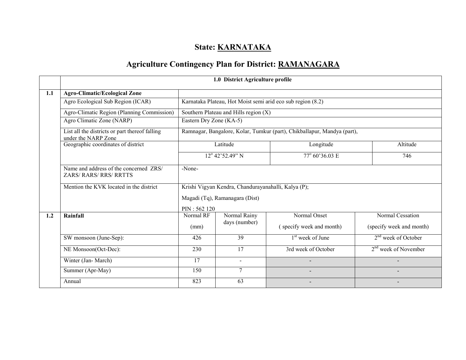# State: **KARNATAKA**

# Agriculture Contingency Plan for District: RAMANAGARA

|     |                                                                       | 1.0 District Agriculture profile                            |                                                                         |                              |                          |  |  |  |
|-----|-----------------------------------------------------------------------|-------------------------------------------------------------|-------------------------------------------------------------------------|------------------------------|--------------------------|--|--|--|
| 1.1 | <b>Agro-Climatic/Ecological Zone</b>                                  |                                                             |                                                                         |                              |                          |  |  |  |
|     | Agro Ecological Sub Region (ICAR)                                     | Karnataka Plateau, Hot Moist semi arid eco sub region (8.2) |                                                                         |                              |                          |  |  |  |
|     | Agro-Climatic Region (Planning Commission)                            | Southern Plateau and Hills region (X)                       |                                                                         |                              |                          |  |  |  |
|     | Agro Climatic Zone (NARP)                                             | Eastern Dry Zone (KA-5)                                     |                                                                         |                              |                          |  |  |  |
|     | List all the districts or part thereof falling<br>under the NARP Zone |                                                             | Ramnagar, Bangalore, Kolar, Tumkur (part), Chikballapur, Mandya (part), |                              |                          |  |  |  |
|     | Geographic coordinates of district                                    |                                                             | Latitude                                                                | Altitude                     |                          |  |  |  |
|     |                                                                       |                                                             | $12^{\circ}$ 42'52.49" N                                                | 77° 60'36.03 E               | 746                      |  |  |  |
|     | Name and address of the concerned ZRS/<br><b>ZARS/RARS/RRS/RRTTS</b>  | -None-                                                      |                                                                         |                              |                          |  |  |  |
|     | Mention the KVK located in the district                               | Krishi Vigyan Kendra, Chandurayanahalli, Kalya (P);         |                                                                         |                              |                          |  |  |  |
|     |                                                                       |                                                             | Magadi (Tq), Ramanagara (Dist)                                          |                              |                          |  |  |  |
|     |                                                                       | PIN: 562 120                                                |                                                                         |                              |                          |  |  |  |
| 1.2 | Rainfall                                                              | Normal RF                                                   | Normal Rainy                                                            | Normal Onset                 | Normal Cessation         |  |  |  |
|     |                                                                       | (mm)                                                        | days (number)                                                           | (specify week and month)     | (specify week and month) |  |  |  |
|     | SW monsoon (June-Sep):                                                | 426                                                         | 39                                                                      | 1 <sup>st</sup> week of June | $2nd$ week of October    |  |  |  |
|     | NE Monsoon(Oct-Dec):                                                  | 230                                                         | 17                                                                      | 3rd week of October          | $2nd$ week of November   |  |  |  |
|     | Winter (Jan-March)                                                    | 17                                                          | $\sim$                                                                  |                              |                          |  |  |  |
|     | Summer (Apr-May)                                                      | 150                                                         | 7                                                                       |                              |                          |  |  |  |
|     | Annual                                                                | 823                                                         | 63                                                                      |                              |                          |  |  |  |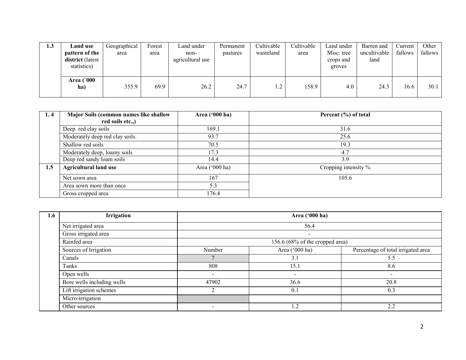| 1.3 | <b>Land</b> use                                          | Geographical | Forest | Land under               | Permanent | Cultivable | Cultivable | Land under                        | Barren and           | Current | Other   |
|-----|----------------------------------------------------------|--------------|--------|--------------------------|-----------|------------|------------|-----------------------------------|----------------------|---------|---------|
|     | pattern of the<br><b>district</b> (latest<br>statistics) | area         | area   | non-<br>agricultural use | pastures  | wasteland  | area       | Misc. tree<br>crops and<br>groves | uncultivable<br>land | fallows | fallows |
|     | <b>Area</b> (`000<br>ha)                                 | 355.9        | 69.9   | 26.2                     | 24.7      | 1.2        | 158.9      | 4.0                               | 24.3                 | 16.6    | 30.1    |

| 1.4 | Major Soils (common names like shallow | Area ('000 ha)   | Percent (%) of total |
|-----|----------------------------------------|------------------|----------------------|
|     | red soils etc.,)                       |                  |                      |
|     | Deep red clay soils                    | 169.1            | 31.6                 |
|     | Moderately deep red clay soils.        | 93.7             | 25.6                 |
|     | Shallow red soils                      | 70.5             | 19.3                 |
|     | Moderately deep, loamy soils           | 17.3             | 4.7                  |
|     | Deep red sandy loam soils              | 14.4             | 3.9                  |
| 1.5 | <b>Agricultural land use</b>           | Area $('000 ha)$ | Cropping intensity % |
|     | Net sown area                          | 167              | 105.6                |
|     | Area sown more than once               | 5.3              |                      |
|     | Gross cropped area                     | 176.4            |                      |

| 1.6 | Irrigation                 | Area ('000 ha)                  |                |                                    |  |  |  |
|-----|----------------------------|---------------------------------|----------------|------------------------------------|--|--|--|
|     | Net irrigated area         | 56.4                            |                |                                    |  |  |  |
|     | Gross irrigated area       | $\,$                            |                |                                    |  |  |  |
|     | Rainfed area               | 156.6 (68% of the cropped area) |                |                                    |  |  |  |
|     | Sources of Irrigation      | Number                          | Area ('000 ha) | Percentage of total irrigated area |  |  |  |
|     | Canals                     |                                 | 3.1            | 5.5                                |  |  |  |
|     | Tanks                      | 808                             | 15.1           | 8.6                                |  |  |  |
|     | Open wells                 | $\overline{\phantom{0}}$        | $\,$           | $\overline{\phantom{a}}$           |  |  |  |
|     | Bore wells including wells | 47902                           | 36.6           | 20.8                               |  |  |  |
|     | Lift irrigation schemes    | ◠                               | 0.1            | 0.3                                |  |  |  |
|     | Micro-irrigation           |                                 |                |                                    |  |  |  |
|     | Other sources              |                                 | 1.2            | 2.2                                |  |  |  |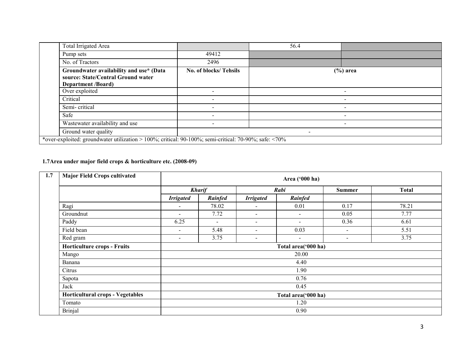| <b>Total Irrigated Area</b>                                                                                  |                          | 56.4                     |                          |  |  |  |
|--------------------------------------------------------------------------------------------------------------|--------------------------|--------------------------|--------------------------|--|--|--|
| Pump sets                                                                                                    | 49412                    |                          |                          |  |  |  |
| No. of Tractors                                                                                              | 2496                     |                          |                          |  |  |  |
| Groundwater availability and use* (Data<br>source: State/Central Ground water<br><b>Department /Board)</b>   | No. of blocks/ Tehsils   |                          | $(\%)$ area              |  |  |  |
| Over exploited                                                                                               | $\overline{\phantom{0}}$ |                          | $\overline{\phantom{0}}$ |  |  |  |
| Critical                                                                                                     | $\overline{\phantom{0}}$ |                          | -                        |  |  |  |
| Semi-critical                                                                                                | $\overline{\phantom{a}}$ |                          | -                        |  |  |  |
| Safe                                                                                                         | $\overline{\phantom{0}}$ |                          |                          |  |  |  |
| Wastewater availability and use                                                                              | $\overline{\phantom{0}}$ |                          |                          |  |  |  |
| Ground water quality                                                                                         |                          | $\overline{\phantom{a}}$ |                          |  |  |  |
| *over-exploited: groundwater utilization > 100%; critical: 90-100%; semi-critical: 70-90%; safe: $\leq 70\%$ |                          |                          |                          |  |  |  |

#### 1.7Area under major field crops & horticulture etc. (2008-09)

| 1.7<br><b>Major Field Crops cultivated</b> |                  |                     |                          |                          |               |              |  |  |
|--------------------------------------------|------------------|---------------------|--------------------------|--------------------------|---------------|--------------|--|--|
|                                            |                  | <b>Kharif</b>       |                          | Rabi                     | <b>Summer</b> | <b>Total</b> |  |  |
|                                            | <b>Irrigated</b> | Rainfed             | <b>Irrigated</b>         | Rainfed                  |               |              |  |  |
| Ragi                                       | -                | 78.02               | $\overline{\phantom{0}}$ | 0.01                     | 0.17          | 78.21        |  |  |
| Groundnut                                  | -                | 7.72                | $\blacksquare$           | $\blacksquare$           | 0.05          | 7.77         |  |  |
| Paddy                                      | 6.25             | $\blacksquare$      | $\blacksquare$           | $\sim$                   | 0.36          | 6.61         |  |  |
| Field bean                                 | -                | 5.48                | $\blacksquare$           | 0.03                     | $\sim$        | 5.51         |  |  |
| Red gram                                   | -                | 3.75                | $\overline{\phantom{a}}$ | $\overline{\phantom{a}}$ |               | 3.75         |  |  |
| <b>Horticulture crops - Fruits</b>         |                  | Total area('000 ha) |                          |                          |               |              |  |  |
| Mango                                      |                  |                     |                          | 20.00                    |               |              |  |  |
| Banana                                     |                  |                     |                          | 4.40                     |               |              |  |  |
| Citrus                                     |                  |                     |                          | 1.90                     |               |              |  |  |
| Sapota                                     |                  |                     |                          | 0.76                     |               |              |  |  |
| Jack                                       |                  |                     |                          | 0.45                     |               |              |  |  |
| Horticultural crops - Vegetables           |                  | Total area('000 ha) |                          |                          |               |              |  |  |
| Tomato                                     |                  | 1.20                |                          |                          |               |              |  |  |
| <b>Brinjal</b>                             |                  |                     |                          | 0.90                     |               |              |  |  |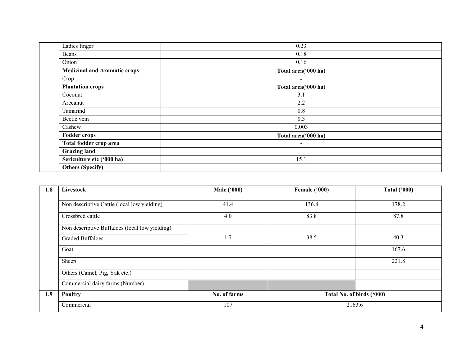| Ladies finger                       | 0.23                     |  |
|-------------------------------------|--------------------------|--|
| Beans                               | 0.18                     |  |
| Onion                               | 0.16                     |  |
| <b>Medicinal and Aromatic crops</b> | Total area('000 ha)      |  |
| Crop 1                              | $\overline{\phantom{a}}$ |  |
| <b>Plantation crops</b>             | Total area('000 ha)      |  |
| Coconut                             | 3.1                      |  |
| Arecanut                            | 2.2                      |  |
| Tamarind                            | 0.8                      |  |
| Beetle vein                         | 0.3                      |  |
| Cashew                              | 0.003                    |  |
| <b>Fodder crops</b>                 | Total area('000 ha)      |  |
| Total fodder crop area              | $\overline{\phantom{a}}$ |  |
| <b>Grazing land</b>                 |                          |  |
| Sericulture etc ('000 ha)           | 15.1                     |  |
| <b>Others (Specify)</b>             |                          |  |

| 1.8 | Livestock                                      | <b>Male ('000)</b> | Female ('000)             | <b>Total ('000)</b> |
|-----|------------------------------------------------|--------------------|---------------------------|---------------------|
|     |                                                |                    |                           |                     |
|     | Non descriptive Cattle (local low yielding)    | 41.4               | 136.8                     | 178.2               |
|     | Crossbred cattle                               | 4.0                | 83.8                      | 87.8                |
|     | Non descriptive Buffaloes (local low yielding) |                    |                           |                     |
|     | <b>Graded Buffaloes</b>                        | 1.7                | 38.5                      | 40.3                |
|     | Goat                                           |                    |                           | 167.6               |
|     | Sheep                                          |                    |                           | 221.8               |
|     | Others (Camel, Pig, Yak etc.)                  |                    |                           |                     |
|     | Commercial dairy farms (Number)                |                    |                           | $\blacksquare$      |
| 1.9 | Poultry                                        | No. of farms       | Total No. of birds ('000) |                     |
|     | Commercial                                     | 107                | 2163.6                    |                     |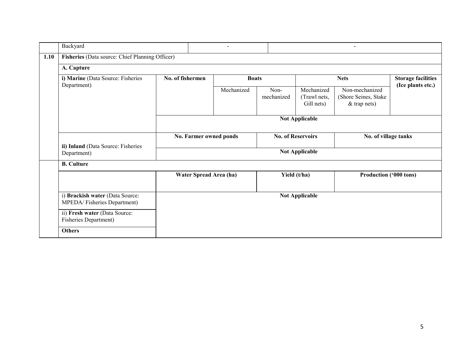|      | Backyard                                                       |                        | $\overline{\phantom{a}}$ |                    |                                          | $\overline{\phantom{0}}$                                 |                   |  |
|------|----------------------------------------------------------------|------------------------|--------------------------|--------------------|------------------------------------------|----------------------------------------------------------|-------------------|--|
| 1.10 | Fisheries (Data source: Chief Planning Officer)                |                        |                          |                    |                                          |                                                          |                   |  |
|      | A. Capture                                                     |                        |                          |                    |                                          |                                                          |                   |  |
|      | i) Marine (Data Source: Fisheries<br>Department)               | No. of fishermen       | <b>Boats</b>             |                    |                                          | <b>Storage facilities</b><br><b>Nets</b>                 |                   |  |
|      |                                                                |                        | Mechanized               | Non-<br>mechanized | Mechanized<br>(Trawl nets,<br>Gill nets) | Non-mechanized<br>(Shore Seines, Stake<br>$&$ trap nets) | (Ice plants etc.) |  |
|      |                                                                |                        |                          |                    | <b>Not Applicable</b>                    |                                                          |                   |  |
|      |                                                                | No. Farmer owned ponds |                          |                    | <b>No. of Reservoirs</b>                 | No. of village tanks                                     |                   |  |
|      | ii) Inland (Data Source: Fisheries<br>Department)              |                        |                          |                    | <b>Not Applicable</b>                    |                                                          |                   |  |
|      | <b>B.</b> Culture                                              |                        |                          |                    |                                          |                                                          |                   |  |
|      |                                                                | Water Spread Area (ha) |                          |                    | Yield (t/ha)                             | Production ('000 tons)                                   |                   |  |
|      | i) Brackish water (Data Source:<br>MPEDA/Fisheries Department) |                        |                          |                    | <b>Not Applicable</b>                    |                                                          |                   |  |
|      | ii) Fresh water (Data Source:<br><b>Fisheries Department)</b>  |                        |                          |                    |                                          |                                                          |                   |  |
|      | <b>Others</b>                                                  |                        |                          |                    |                                          |                                                          |                   |  |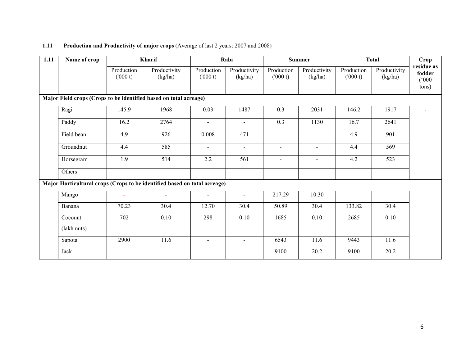#### 1.11 Production and Productivity of major crops (Average of last 2 years: 2007 and 2008)

| 1.11 | Name of crop                                                              |                          | Kharif                   |                          | Rabi                     |                          | <b>Summer</b>           |                       | <b>Total</b>            | Crop                                   |
|------|---------------------------------------------------------------------------|--------------------------|--------------------------|--------------------------|--------------------------|--------------------------|-------------------------|-----------------------|-------------------------|----------------------------------------|
|      |                                                                           | Production<br>(000 t)    | Productivity<br>(kg/ha)  | Production<br>(000 t)    | Productivity<br>(kg/ha)  | Production<br>(000 t)    | Productivity<br>(kg/ha) | Production<br>(000 t) | Productivity<br>(kg/ha) | residue as<br>fodder<br>(000)<br>tons) |
|      | Major Field crops (Crops to be identified based on total acreage)         |                          |                          |                          |                          |                          |                         |                       |                         |                                        |
|      | Ragi                                                                      | 145.9                    | 1968                     | 0.03                     | 1487                     | 0.3                      | 2031                    | 146.2                 | 1917                    |                                        |
|      | Paddy                                                                     | 16.2                     | 2764                     | $\blacksquare$           | $\blacksquare$           | 0.3                      | 1130                    | 16.7                  | 2641                    |                                        |
|      | Field bean                                                                | 4.9                      | 926                      | 0.008                    | 471                      | $\overline{\phantom{a}}$ | $\blacksquare$          | 4.9                   | 901                     |                                        |
|      | Groundnut                                                                 | 4.4                      | 585                      | $\blacksquare$           | $\blacksquare$           | $\overline{a}$           | $\blacksquare$          | 4.4                   | 569                     |                                        |
|      | Horsegram                                                                 | 1.9                      | 514                      | 2.2                      | 561                      | $\overline{\phantom{a}}$ | $\sim$                  | 4.2                   | 523                     |                                        |
|      | Others                                                                    |                          |                          |                          |                          |                          |                         |                       |                         |                                        |
|      | Major Horticultural crops (Crops to be identified based on total acreage) |                          |                          |                          |                          |                          |                         |                       |                         |                                        |
|      | Mango                                                                     | $\sim$                   | $\sim$                   | $\blacksquare$           | $\blacksquare$           | 217.29                   | 10.30                   |                       |                         |                                        |
|      | Banana                                                                    | 70.23                    | 30.4                     | 12.70                    | 30.4                     | 50.89                    | 30.4                    | 133.82                | 30.4                    |                                        |
|      | Coconut                                                                   | 702                      | 0.10                     | 298                      | 0.10                     | 1685                     | 0.10                    | 2685                  | 0.10                    |                                        |
|      | (lakh nuts)                                                               |                          |                          |                          |                          |                          |                         |                       |                         |                                        |
|      | Sapota                                                                    | 2900                     | 11.6                     | $\blacksquare$           | $\blacksquare$           | 6543                     | 11.6                    | 9443                  | 11.6                    |                                        |
|      | Jack                                                                      | $\overline{\phantom{a}}$ | $\overline{\phantom{0}}$ | $\overline{\phantom{a}}$ | $\overline{\phantom{0}}$ | 9100                     | 20.2                    | 9100                  | 20.2                    |                                        |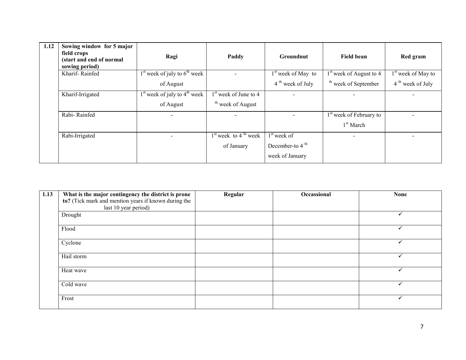| 1.12 | Sowing window for 5 major<br>field crops<br>(start and end of normal<br>sowing period) | Ragi                             | Paddy                              | <b>Groundnut</b>     | Field bean                          | Red gram                       |
|------|----------------------------------------------------------------------------------------|----------------------------------|------------------------------------|----------------------|-------------------------------------|--------------------------------|
|      | Kharif-Rainfed                                                                         | $1st$ week of july to $6th$ week |                                    | $1st$ week of May to | $1st$ week of August to 4           | 1 <sup>st</sup> week of May to |
|      |                                                                                        | of August                        |                                    | $4th$ week of July   | <sup>th</sup> week of September     | $4th$ week of July             |
|      | Kharif-Irrigated                                                                       | $1st$ week of july to $4th$ week | $1st$ week of June to 4            |                      |                                     |                                |
|      |                                                                                        | of August                        | <sup>th</sup> week of August       |                      |                                     |                                |
|      | Rabi-Rainfed                                                                           |                                  |                                    |                      | 1 <sup>st</sup> week of February to |                                |
|      |                                                                                        |                                  |                                    |                      | $1st$ March                         |                                |
|      | Rabi-Irrigated                                                                         |                                  | $1st$ week to 4 <sup>th</sup> week | $1st$ week of        | $\overline{\phantom{a}}$            | $\overline{\phantom{0}}$       |
|      |                                                                                        |                                  | of January                         | December-to $4th$    |                                     |                                |
|      |                                                                                        |                                  |                                    | week of January      |                                     |                                |

| 1.13 | What is the major contingency the district is prone  | Regular | Occassional | <b>None</b> |
|------|------------------------------------------------------|---------|-------------|-------------|
|      | to? (Tick mark and mention years if known during the |         |             |             |
|      | last 10 year period)                                 |         |             |             |
|      | Drought                                              |         |             |             |
|      | Flood                                                |         |             |             |
|      | Cyclone                                              |         |             |             |
|      | Hail storm                                           |         |             |             |
|      | Heat wave                                            |         |             |             |
|      | Cold wave                                            |         |             |             |
|      | Frost                                                |         |             |             |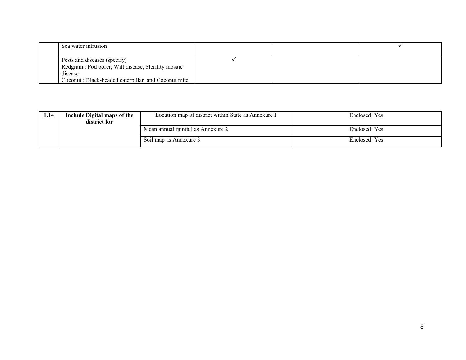| Sea water intrusion                                |  |  |
|----------------------------------------------------|--|--|
|                                                    |  |  |
| Pests and diseases (specify)                       |  |  |
| Redgram: Pod borer, Wilt disease, Sterility mosaic |  |  |
| disease                                            |  |  |
| Coconut: Black-headed caterpillar and Coconut mite |  |  |

| 1.14 | Include Digital maps of the<br>Location map of district within State as Annexure I<br>district for |                                    | Enclosed: Yes |
|------|----------------------------------------------------------------------------------------------------|------------------------------------|---------------|
|      |                                                                                                    | Mean annual rainfall as Annexure 2 | Enclosed: Yes |
|      |                                                                                                    | Soil map as Annexure 3             | Enclosed: Yes |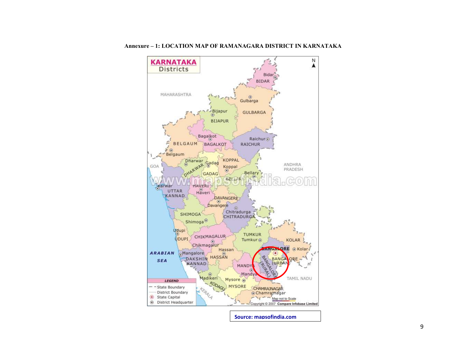

Annexure – 1: LOCATION MAP OF RAMANAGARA DISTRICT IN KARNATAKA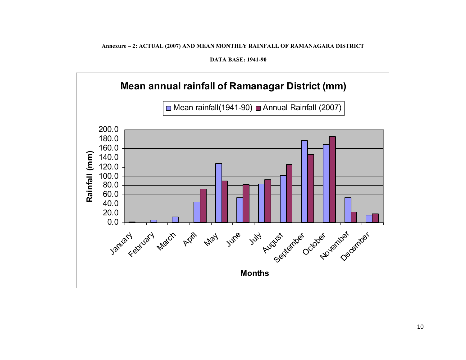Annexure – 2: ACTUAL (2007) AND MEAN MONTHLY RAINFALL OF RAMANAGARA DISTRICT

DATA BASE: 1941-90

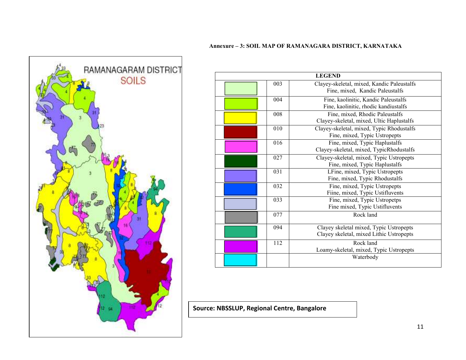#### Annexure – 3: SOIL MAP OF RAMANAGARA DISTRICT, KARNATAKA



| <b>LEGEND</b> |     |                                                                                     |  |  |  |
|---------------|-----|-------------------------------------------------------------------------------------|--|--|--|
|               | 003 | Clayey-skeletal, mixed, Kandic Paleustalfs<br>Fine, mixed, Kandic Paleustalfs       |  |  |  |
|               | 004 | Fine, kaolinitic, Kandic Paleustalfs<br>Fine, kaolinitic, rhodic kandiustalfs       |  |  |  |
|               | 008 | Fine, mixed, Rhodic Paleustalfs<br>Clayey-skeletal, mixed, Ultic Haplustalfs        |  |  |  |
|               | 010 | Clayey-skeletal, mixed, Typic Rhodustalfs<br>Fine, mixed, Typic Ustropepts          |  |  |  |
|               | 016 | Fine, mixed, Typic Haplustalfs<br>Clayey-skeletal, mixed, TypicRhodustalfs          |  |  |  |
|               | 027 | Clayey-skeletal, mixed, Typic Ustropepts<br>Fine, mixed, Typic Haplustalfs          |  |  |  |
|               | 031 | LFine, mixed, Typic Ustropepts<br>Fine, mixed, Typic Rhodustalfs                    |  |  |  |
|               | 032 | Fine, mixed, Typic Ustropepts<br>Fiine, mixed, Typic Ustifluvents                   |  |  |  |
|               | 033 | Fine, mixed, Typic Ustropetps<br>Fine mixed, Typic Ustifluvents                     |  |  |  |
|               | 077 | Rock land                                                                           |  |  |  |
|               | 094 | Clayey skeletal mixed, Typic Ustropepts<br>Clayey skeletal, mixed Lithic Ustropepts |  |  |  |
|               | 112 | Rock land<br>Loamy-skeletal, mixed, Typic Ustropepts                                |  |  |  |
|               |     | Waterbody                                                                           |  |  |  |

Source: NBSSLUP, Regional Centre, Bangalore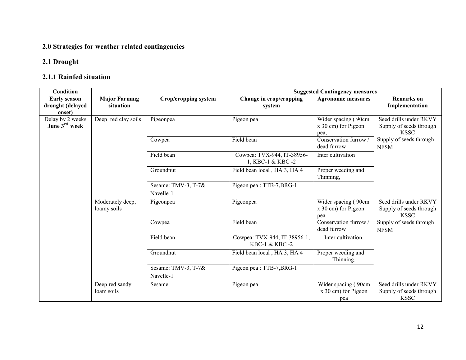## 2.0 Strategies for weather related contingencies

## 2.1 Drought

## 2.1.1 Rainfed situation

| <b>Condition</b>          |                      |                      | <b>Suggested Contingency measures</b>          |                               |                                        |  |
|---------------------------|----------------------|----------------------|------------------------------------------------|-------------------------------|----------------------------------------|--|
| <b>Early season</b>       | <b>Major Farming</b> | Crop/cropping system | Change in crop/cropping                        | <b>Agronomic measures</b>     | <b>Remarks</b> on                      |  |
| drought (delayed          | situation            |                      | system                                         |                               | Implementation                         |  |
| onset)                    |                      |                      |                                                |                               |                                        |  |
| Delay by 2 weeks          | Deep red clay soils  | Pigeonpea            | Pigeon pea                                     | Wider spacing (90cm           | Seed drills under RKVY                 |  |
| June 3 <sup>rd</sup> week |                      |                      |                                                | $x$ 30 cm) for Pigeon         | Supply of seeds through<br><b>KSSC</b> |  |
|                           |                      |                      |                                                | pea,<br>Conservation furrow / |                                        |  |
|                           |                      | Cowpea               | Field bean                                     | dead furrow                   | Supply of seeds through                |  |
|                           |                      |                      |                                                |                               | <b>NFSM</b>                            |  |
|                           |                      | Field bean           | Cowpea: TVX-944, IT-38956-<br>1, KBC-1 & KBC-2 | Inter cultivation             |                                        |  |
|                           |                      | Groundnut            | Field bean local, HA 3, HA 4                   | Proper weeding and            |                                        |  |
|                           |                      |                      |                                                | Thinning,                     |                                        |  |
|                           |                      | Sesame: TMV-3, T-7&  | Pigeon pea: TTB-7, BRG-1                       |                               |                                        |  |
|                           |                      | Navelle-1            |                                                |                               |                                        |  |
|                           | Moderately deep,     | Pigeonpea            | Pigeonpea                                      | Wider spacing (90cm           | Seed drills under RKVY                 |  |
|                           | loamy soils          |                      |                                                | x 30 cm) for Pigeon           | Supply of seeds through                |  |
|                           |                      |                      |                                                | pea                           | <b>KSSC</b>                            |  |
|                           |                      | Cowpea               | Field bean                                     | Conservation furrow /         | Supply of seeds through                |  |
|                           |                      |                      |                                                | dead furrow                   | <b>NFSM</b>                            |  |
|                           |                      | Field bean           | Cowpea: TVX-944, IT-38956-1,                   | Inter cultivation,            |                                        |  |
|                           |                      |                      | KBC-1 & KBC-2                                  |                               |                                        |  |
|                           |                      | Groundnut            | Field bean local, HA 3, HA 4                   | Proper weeding and            |                                        |  |
|                           |                      |                      |                                                | Thinning,                     |                                        |  |
|                           |                      | Sesame: TMV-3, T-7&  | Pigeon pea : TTB-7, BRG-1                      |                               |                                        |  |
|                           |                      | Navelle-1            |                                                |                               |                                        |  |
|                           | Deep red sandy       | Sesame               | Pigeon pea                                     | Wider spacing (90cm           | Seed drills under RKVY                 |  |
|                           | loam soils           |                      |                                                | x 30 cm) for Pigeon           | Supply of seeds through                |  |
|                           |                      |                      |                                                | pea                           | <b>KSSC</b>                            |  |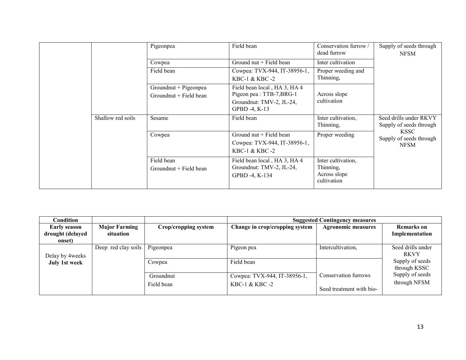|  |                   | Pigeonpea                                         | Field bean                                                                                                   | Conservation furrow /<br>dead furrow                           | Supply of seeds through<br><b>NFSM</b>                |
|--|-------------------|---------------------------------------------------|--------------------------------------------------------------------------------------------------------------|----------------------------------------------------------------|-------------------------------------------------------|
|  |                   | Cowpea                                            | Ground nut + Field bean                                                                                      | Inter cultivation                                              |                                                       |
|  |                   | Field bean                                        | Cowpea: TVX-944, IT-38956-1,<br>KBC-1 & KBC-2                                                                | Proper weeding and<br>Thinning,                                |                                                       |
|  |                   | Groundnut + Pigeonpea<br>Groundnut $+$ Field bean | Field bean local, HA 3, HA 4<br>Pigeon pea : TTB-7, BRG-1<br>Groundnut: TMV-2, JL-24,<br>GPBD $-4$ , K $-13$ | Across slope<br>cultivation                                    |                                                       |
|  | Shallow red soils | Sesame                                            | Field bean                                                                                                   | Inter cultivation,<br>Thinning,                                | Seed drills under RKVY<br>Supply of seeds through     |
|  |                   | Cowpea                                            | Ground nut + Field bean<br>Cowpea: TVX-944, IT-38956-1,<br>KBC-1 & KBC-2                                     | Proper weeding                                                 | <b>KSSC</b><br>Supply of seeds through<br><b>NFSM</b> |
|  |                   | Field bean<br>Groundnut + Field bean              | Field bean local, HA 3, HA 4<br>Groundnut: TMV-2, JL-24,<br>GPBD -4, K-134                                   | Inter cultivation,<br>Thinning,<br>Across slope<br>cultivation |                                                       |

| Condition                                         |                                   |                         | <b>Suggested Contingency measures</b>         |                                                  |                                     |
|---------------------------------------------------|-----------------------------------|-------------------------|-----------------------------------------------|--------------------------------------------------|-------------------------------------|
| <b>Early season</b><br>drought (delayed<br>onset) | <b>Major Farming</b><br>situation | Crop/cropping system    | Change in crop/cropping system                | <b>Agronomic measures</b>                        | <b>Remarks</b> on<br>Implementation |
| Delay by 4 weeks                                  | Deep red clay soils               | Pigeonpea               | Pigeon pea                                    | Intercultivation,                                | Seed drills under<br><b>RKVY</b>    |
| July 1st week                                     |                                   | Cowpea                  | Field bean                                    |                                                  | Supply of seeds<br>through KSSC     |
|                                                   |                                   | Groundnut<br>Field bean | Cowpea: TVX-944, IT-38956-1,<br>KBC-1 & KBC-2 | Conservation furrows<br>Seed treatment with bio- | Supply of seeds<br>through NFSM     |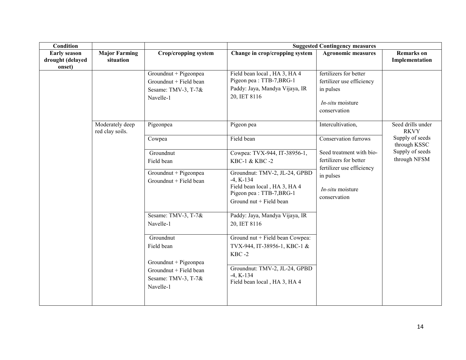| <b>Condition</b>                           |                                    |                                                                                     | <b>Suggested Contingency measures</b>                                                                                                    |                                                                                                        |                                     |  |
|--------------------------------------------|------------------------------------|-------------------------------------------------------------------------------------|------------------------------------------------------------------------------------------------------------------------------------------|--------------------------------------------------------------------------------------------------------|-------------------------------------|--|
| Early season<br>drought (delayed<br>onset) | <b>Major Farming</b><br>situation  | <b>Crop/cropping system</b>                                                         | Change in crop/cropping system                                                                                                           | <b>Agronomic measures</b>                                                                              | <b>Remarks</b> on<br>Implementation |  |
|                                            |                                    | Groundnut + Pigeonpea<br>Groundnut + Field bean<br>Sesame: TMV-3, T-7&<br>Navelle-1 | Field bean local, HA 3, HA 4<br>Pigeon pea : TTB-7, BRG-1<br>Paddy: Jaya, Mandya Vijaya, IR<br>20, IET 8116                              | fertilizers for better<br>fertilizer use efficiency<br>in pulses<br>$In-situ$ moisture<br>conservation |                                     |  |
|                                            | Moderately deep<br>red clay soils. | Pigeonpea                                                                           | Pigeon pea                                                                                                                               | Intercultivation,                                                                                      | Seed drills under<br><b>RKVY</b>    |  |
|                                            |                                    | Cowpea                                                                              | Field bean                                                                                                                               | Conservation furrows                                                                                   | Supply of seeds<br>through KSSC     |  |
|                                            |                                    | Groundnut<br>Field bean                                                             | Cowpea: TVX-944, IT-38956-1,<br>KBC-1 & KBC-2                                                                                            | Seed treatment with bio-<br>fertilizers for better<br>fertilizer use efficiency                        | Supply of seeds<br>through NFSM     |  |
|                                            |                                    | Groundnut + Pigeonpea<br>Groundnut + Field bean                                     | Groundnut: TMV-2, JL-24, GPBD<br>$-4$ , K $-134$<br>Field bean local, HA 3, HA 4<br>Pigeon pea : TTB-7, BRG-1<br>Ground nut + Field bean | in pulses<br>In-situ moisture<br>conservation                                                          |                                     |  |
|                                            |                                    | Sesame: TMV-3, T-7&<br>Navelle-1                                                    | Paddy: Jaya, Mandya Vijaya, IR<br>20, IET 8116                                                                                           |                                                                                                        |                                     |  |
|                                            |                                    | Groundnut<br>Field bean                                                             | Ground nut + Field bean Cowpea:<br>TVX-944, IT-38956-1, KBC-1 &<br>$KBC -2$                                                              |                                                                                                        |                                     |  |
|                                            |                                    | Groundnut + Pigeonpea<br>Groundnut + Field bean<br>Sesame: TMV-3, T-7&<br>Navelle-1 | Groundnut: TMV-2, JL-24, GPBD<br>$-4$ , K $-134$<br>Field bean local, HA 3, HA 4                                                         |                                                                                                        |                                     |  |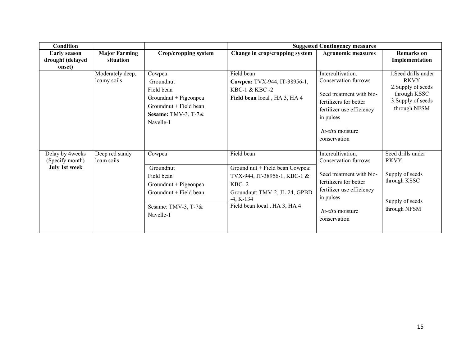| <b>Condition</b>                                           |                                   |                                                                                                                                        | <b>Suggested Contingency measures</b>                                                                                                                                         |                                                                                                                                                                                      |                                                                                                                 |  |
|------------------------------------------------------------|-----------------------------------|----------------------------------------------------------------------------------------------------------------------------------------|-------------------------------------------------------------------------------------------------------------------------------------------------------------------------------|--------------------------------------------------------------------------------------------------------------------------------------------------------------------------------------|-----------------------------------------------------------------------------------------------------------------|--|
| <b>Early season</b><br>drought (delayed<br>onset)          | <b>Major Farming</b><br>situation | Crop/cropping system                                                                                                                   | Change in crop/cropping system                                                                                                                                                | <b>Agronomic measures</b>                                                                                                                                                            | <b>Remarks</b> on<br>Implementation                                                                             |  |
|                                                            | Moderately deep,<br>loamy soils   | Cowpea<br>Groundnut<br>Field bean<br>Groundnut + Pigeonpea<br>Groundnut + Field bean<br>Sesame: TMV-3, T-7&<br>Navelle-1               | Field bean<br>Cowpea: TVX-944, IT-38956-1,<br>KBC-1 $&$ KBC -2<br>Field bean local, HA 3, HA 4                                                                                | Intercultivation,<br>Conservation furrows<br>Seed treatment with bio-<br>fertilizers for better<br>fertilizer use efficiency<br>in pulses<br>$In-situ$ moisture<br>conservation      | 1. Seed drills under<br><b>RKVY</b><br>2. Supply of seeds<br>through KSSC<br>3. Supply of seeds<br>through NFSM |  |
| Delay by 4weeks<br>(Specify month)<br><b>July 1st week</b> | Deep red sandy<br>loam soils      | Cowpea<br>Groundnut<br>Field bean<br>Groundnut + Pigeonpea<br>Groundnut + Field bean<br>Sesame: TMV-3, $\overline{T-7\&}$<br>Navelle-1 | Field bean<br>Ground nut + Field bean Cowpea:<br>TVX-944, IT-38956-1, KBC-1 &<br>$KBC -2$<br>Groundnut: TMV-2, JL-24, GPBD<br>$-4$ , K $-134$<br>Field bean local, HA 3, HA 4 | Intercultivation,<br>Conservation furrows<br>Seed treatment with bio-<br>fertilizers for better<br>fertilizer use efficiency<br>in pulses<br><i>In-situ</i> moisture<br>conservation | Seed drills under<br><b>RKVY</b><br>Supply of seeds<br>through KSSC<br>Supply of seeds<br>through NFSM          |  |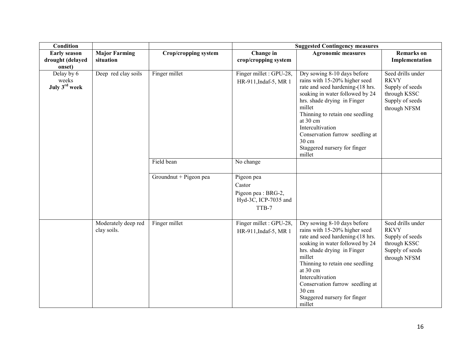| Condition                               |                                    |                        | <b>Suggested Contingency measures</b>                                        |                                                                                                                                                                                                                                                                                                                                       |                                                                                                        |  |
|-----------------------------------------|------------------------------------|------------------------|------------------------------------------------------------------------------|---------------------------------------------------------------------------------------------------------------------------------------------------------------------------------------------------------------------------------------------------------------------------------------------------------------------------------------|--------------------------------------------------------------------------------------------------------|--|
| <b>Early season</b><br>drought (delayed | <b>Major Farming</b><br>situation  | Crop/cropping system   | Change in<br>crop/cropping system                                            | <b>Agronomic measures</b>                                                                                                                                                                                                                                                                                                             | <b>Remarks</b> on<br>Implementation                                                                    |  |
| onset)                                  |                                    |                        |                                                                              |                                                                                                                                                                                                                                                                                                                                       |                                                                                                        |  |
| Delay by 6<br>weeks<br>July 3rd week    | Deep red clay soils                | Finger millet          | Finger millet : GPU-28,<br>HR-911, Indaf-5, MR 1                             | Dry sowing 8-10 days before<br>rains with 15-20% higher seed<br>rate and seed hardening-(18 hrs.<br>soaking in water followed by 24<br>hrs. shade drying in Finger<br>millet<br>Thinning to retain one seedling<br>at 30 cm<br>Intercultivation<br>Conservation furrow seedling at<br>30 cm<br>Staggered nursery for finger<br>millet | Seed drills under<br><b>RKVY</b><br>Supply of seeds<br>through KSSC<br>Supply of seeds<br>through NFSM |  |
|                                         |                                    | Field bean             | No change                                                                    |                                                                                                                                                                                                                                                                                                                                       |                                                                                                        |  |
|                                         |                                    | Groundnut + Pigeon pea | Pigeon pea<br>Castor<br>Pigeon pea : BRG-2,<br>Hyd-3C, ICP-7035 and<br>TTB-7 |                                                                                                                                                                                                                                                                                                                                       |                                                                                                        |  |
|                                         | Moderately deep red<br>clay soils. | Finger millet          | Finger millet : GPU-28,<br>HR-911, Indaf-5, MR 1                             | Dry sowing 8-10 days before<br>rains with 15-20% higher seed<br>rate and seed hardening-(18 hrs.<br>soaking in water followed by 24<br>hrs. shade drying in Finger<br>millet<br>Thinning to retain one seedling<br>at 30 cm<br>Intercultivation<br>Conservation furrow seedling at<br>30 cm<br>Staggered nursery for finger<br>millet | Seed drills under<br><b>RKVY</b><br>Supply of seeds<br>through KSSC<br>Supply of seeds<br>through NFSM |  |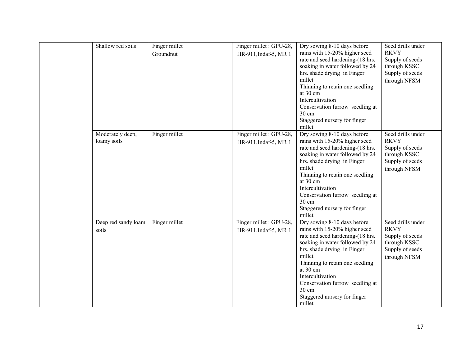|       | Shallow red soils               | Finger millet<br>Groundnut | Finger millet : GPU-28,<br>HR-911, Indaf-5, MR 1 | Dry sowing 8-10 days before<br>rains with 15-20% higher seed<br>rate and seed hardening-(18 hrs.<br>soaking in water followed by 24<br>hrs. shade drying in Finger<br>millet<br>Thinning to retain one seedling<br>at 30 cm<br>Intercultivation<br>Conservation furrow seedling at<br>30 cm<br>Staggered nursery for finger<br>millet | Seed drills under<br><b>RKVY</b><br>Supply of seeds<br>through KSSC<br>Supply of seeds<br>through NFSM |
|-------|---------------------------------|----------------------------|--------------------------------------------------|---------------------------------------------------------------------------------------------------------------------------------------------------------------------------------------------------------------------------------------------------------------------------------------------------------------------------------------|--------------------------------------------------------------------------------------------------------|
|       | Moderately deep,<br>loamy soils | Finger millet              | Finger millet : GPU-28,<br>HR-911, Indaf-5, MR 1 | Dry sowing 8-10 days before<br>rains with 15-20% higher seed<br>rate and seed hardening-(18 hrs.<br>soaking in water followed by 24<br>hrs. shade drying in Finger<br>millet<br>Thinning to retain one seedling<br>at 30 cm<br>Intercultivation<br>Conservation furrow seedling at<br>30 cm<br>Staggered nursery for finger<br>millet | Seed drills under<br><b>RKVY</b><br>Supply of seeds<br>through KSSC<br>Supply of seeds<br>through NFSM |
| soils | Deep red sandy loam             | Finger millet              | Finger millet : GPU-28,<br>HR-911, Indaf-5, MR 1 | Dry sowing 8-10 days before<br>rains with 15-20% higher seed<br>rate and seed hardening-(18 hrs.<br>soaking in water followed by 24<br>hrs. shade drying in Finger<br>millet<br>Thinning to retain one seedling<br>at 30 cm<br>Intercultivation<br>Conservation furrow seedling at<br>30 cm<br>Staggered nursery for finger<br>millet | Seed drills under<br><b>RKVY</b><br>Supply of seeds<br>through KSSC<br>Supply of seeds<br>through NFSM |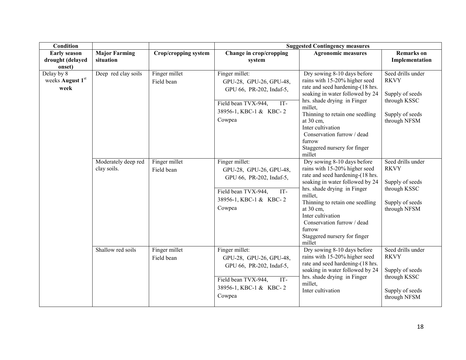| <b>Condition</b>                                  |                                    |                             | <b>Suggested Contingency measures</b>                                                                                                     |                                                                                                                                                                                                                                                                                                                                      |                                                                                                        |
|---------------------------------------------------|------------------------------------|-----------------------------|-------------------------------------------------------------------------------------------------------------------------------------------|--------------------------------------------------------------------------------------------------------------------------------------------------------------------------------------------------------------------------------------------------------------------------------------------------------------------------------------|--------------------------------------------------------------------------------------------------------|
| <b>Early season</b><br>drought (delayed<br>onset) | <b>Major Farming</b><br>situation  | Crop/cropping system        | Change in crop/cropping<br>system                                                                                                         | <b>Agronomic measures</b>                                                                                                                                                                                                                                                                                                            | <b>Remarks</b> on<br>Implementation                                                                    |
| Delay by 8<br>weeks August 1st<br>week            | Deep red clay soils                | Finger millet<br>Field bean | Finger millet:<br>GPU-28, GPU-26, GPU-48,<br>GPU 66, PR-202, Indaf-5,<br>Field bean TVX-944,<br>IT-<br>38956-1, KBC-1 & KBC-2<br>Cowpea   | Dry sowing 8-10 days before<br>rains with 15-20% higher seed<br>rate and seed hardening-(18 hrs.<br>soaking in water followed by 24<br>hrs. shade drying in Finger<br>millet,<br>Thinning to retain one seedling<br>at 30 cm,<br>Inter cultivation<br>Conservation furrow / dead<br>furrow<br>Staggered nursery for finger<br>millet | Seed drills under<br><b>RKVY</b><br>Supply of seeds<br>through KSSC<br>Supply of seeds<br>through NFSM |
|                                                   | Moderately deep red<br>clay soils. | Finger millet<br>Field bean | Finger millet:<br>GPU-28, GPU-26, GPU-48,<br>GPU 66, PR-202, Indaf-5,<br>Field bean TVX-944,<br>IT-<br>38956-1, KBC-1 & KBC-2<br>Cowpea   | Dry sowing 8-10 days before<br>rains with 15-20% higher seed<br>rate and seed hardening-(18 hrs.<br>soaking in water followed by 24<br>hrs. shade drying in Finger<br>millet,<br>Thinning to retain one seedling<br>at 30 cm,<br>Inter cultivation<br>Conservation furrow / dead<br>furrow<br>Staggered nursery for finger<br>millet | Seed drills under<br><b>RKVY</b><br>Supply of seeds<br>through KSSC<br>Supply of seeds<br>through NFSM |
|                                                   | Shallow red soils                  | Finger millet<br>Field bean | Finger millet:<br>GPU-28, GPU-26, GPU-48,<br>GPU 66, PR-202, Indaf-5,<br>Field bean TVX-944,<br>$IT-$<br>38956-1, KBC-1 & KBC-2<br>Cowpea | Dry sowing 8-10 days before<br>rains with 15-20% higher seed<br>rate and seed hardening-(18 hrs.<br>soaking in water followed by 24<br>hrs. shade drying in Finger<br>millet.<br>Inter cultivation                                                                                                                                   | Seed drills under<br><b>RKVY</b><br>Supply of seeds<br>through KSSC<br>Supply of seeds<br>through NFSM |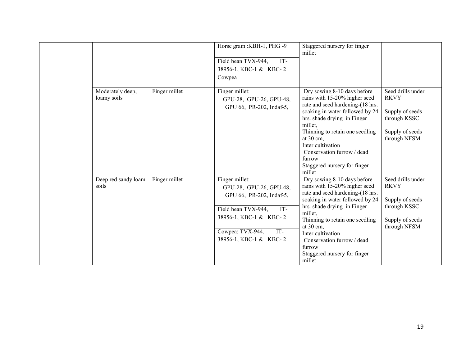|                                 |               | Horse gram : KBH-1, PHG-9<br>Field bean TVX-944,<br>IT-<br>38956-1, KBC-1 & KBC-2<br>Cowpea                                                                                        | Staggered nursery for finger<br>millet                                                                                                                                                                                                                                                                                               |                                                                                                        |
|---------------------------------|---------------|------------------------------------------------------------------------------------------------------------------------------------------------------------------------------------|--------------------------------------------------------------------------------------------------------------------------------------------------------------------------------------------------------------------------------------------------------------------------------------------------------------------------------------|--------------------------------------------------------------------------------------------------------|
| Moderately deep,<br>loamy soils | Finger millet | Finger millet:<br>GPU-28, GPU-26, GPU-48,<br>GPU 66, PR-202, Indaf-5,                                                                                                              | Dry sowing 8-10 days before<br>rains with 15-20% higher seed<br>rate and seed hardening-(18 hrs.<br>soaking in water followed by 24<br>hrs. shade drying in Finger<br>millet,<br>Thinning to retain one seedling<br>at 30 cm,<br>Inter cultivation<br>Conservation furrow / dead<br>furrow<br>Staggered nursery for finger<br>millet | Seed drills under<br><b>RKVY</b><br>Supply of seeds<br>through KSSC<br>Supply of seeds<br>through NFSM |
| Deep red sandy loam<br>soils    | Finger millet | Finger millet:<br>GPU-28, GPU-26, GPU-48,<br>GPU 66, PR-202, Indaf-5,<br>Field bean TVX-944,<br>IT-<br>38956-1, KBC-1 & KBC-2<br>Cowpea: TVX-944,<br>IT-<br>38956-1, KBC-1 & KBC-2 | Dry sowing 8-10 days before<br>rains with 15-20% higher seed<br>rate and seed hardening-(18 hrs.<br>soaking in water followed by 24<br>hrs. shade drying in Finger<br>millet,<br>Thinning to retain one seedling<br>at 30 cm,<br>Inter cultivation<br>Conservation furrow / dead<br>furrow<br>Staggered nursery for finger<br>millet | Seed drills under<br><b>RKVY</b><br>Supply of seeds<br>through KSSC<br>Supply of seeds<br>through NFSM |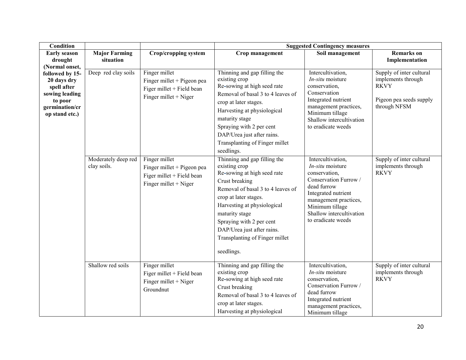| <b>Condition</b>                                                                                               |                                    |                                                                                                     |                                                                                                                                                                                                                                                                                                                         | <b>Suggested Contingency measures</b>                                                                                                                                                                               |                                                                                                          |
|----------------------------------------------------------------------------------------------------------------|------------------------------------|-----------------------------------------------------------------------------------------------------|-------------------------------------------------------------------------------------------------------------------------------------------------------------------------------------------------------------------------------------------------------------------------------------------------------------------------|---------------------------------------------------------------------------------------------------------------------------------------------------------------------------------------------------------------------|----------------------------------------------------------------------------------------------------------|
| <b>Early season</b><br>drought<br>(Normal onset,                                                               | <b>Major Farming</b><br>situation  | Crop/cropping system                                                                                | Crop management                                                                                                                                                                                                                                                                                                         | Soil management                                                                                                                                                                                                     | <b>Remarks</b> on<br>Implementation                                                                      |
| followed by 15-<br>20 days dry<br>spell after<br>sowing leading<br>to poor<br>germination/cr<br>op stand etc.) | Deep red clay soils                | Finger millet<br>Finger millet + Pigeon pea<br>Figer millet + Field bean<br>Finger millet $+$ Niger | Thinning and gap filling the<br>existing crop<br>Re-sowing at high seed rate<br>Removal of basal 3 to 4 leaves of<br>crop at later stages.<br>Harvesting at physiological<br>maturity stage<br>Spraying with 2 per cent<br>DAP/Urea just after rains.<br>Transplanting of Finger millet<br>seedlings.                   | Intercultivation,<br>$In-situ$ moisture<br>conservation,<br>Conservation<br>Integrated nutrient<br>management practices,<br>Minimum tillage<br>Shallow intercultivation<br>to eradicate weeds                       | Supply of inter cultural<br>implements through<br><b>RKVY</b><br>Pigeon pea seeds supply<br>through NFSM |
|                                                                                                                | Moderately deep red<br>clay soils. | Finger millet<br>Finger millet + Pigeon pea<br>Figer millet + Field bean<br>Finger millet $+$ Niger | Thinning and gap filling the<br>existing crop<br>Re-sowing at high seed rate<br>Crust breaking<br>Removal of basal 3 to 4 leaves of<br>crop at later stages.<br>Harvesting at physiological<br>maturity stage<br>Spraying with 2 per cent<br>DAP/Urea just after rains.<br>Transplanting of Finger millet<br>seedlings. | Intercultivation,<br>In-situ moisture<br>conservation,<br>Conservation Furrow /<br>dead furrow<br>Integrated nutrient<br>management practices,<br>Minimum tillage<br>Shallow intercultivation<br>to eradicate weeds | Supply of inter cultural<br>implements through<br><b>RKVY</b>                                            |
|                                                                                                                | Shallow red soils                  | Finger millet<br>Figer millet + Field bean<br>Finger millet $+$ Niger<br>Groundnut                  | Thinning and gap filling the<br>existing crop<br>Re-sowing at high seed rate<br>Crust breaking<br>Removal of basal 3 to 4 leaves of<br>crop at later stages.<br>Harvesting at physiological                                                                                                                             | Intercultivation,<br>In-situ moisture<br>conservation,<br>Conservation Furrow /<br>dead furrow<br>Integrated nutrient<br>management practices,<br>Minimum tillage                                                   | Supply of inter cultural<br>implements through<br><b>RKVY</b>                                            |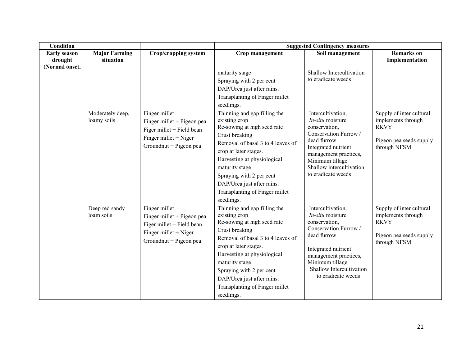| Condition                                        |                                   |                                                                                                                                 | <b>Suggested Contingency measures</b>                                                                                                                                                                                                                                                                                   |                                                                                                                                                                                                                       |                                                                                                          |  |
|--------------------------------------------------|-----------------------------------|---------------------------------------------------------------------------------------------------------------------------------|-------------------------------------------------------------------------------------------------------------------------------------------------------------------------------------------------------------------------------------------------------------------------------------------------------------------------|-----------------------------------------------------------------------------------------------------------------------------------------------------------------------------------------------------------------------|----------------------------------------------------------------------------------------------------------|--|
| <b>Early season</b><br>drought<br>(Normal onset, | <b>Major Farming</b><br>situation | <b>Crop/cropping system</b>                                                                                                     | Crop management                                                                                                                                                                                                                                                                                                         | Soil management                                                                                                                                                                                                       | <b>Remarks</b> on<br>Implementation                                                                      |  |
|                                                  | Moderately deep,                  | Finger millet                                                                                                                   | maturity stage<br>Spraying with 2 per cent<br>DAP/Urea just after rains.<br>Transplanting of Finger millet<br>seedlings.<br>Thinning and gap filling the                                                                                                                                                                | <b>Shallow Intercultivation</b><br>to eradicate weeds<br>Intercultivation,                                                                                                                                            | Supply of inter cultural                                                                                 |  |
|                                                  | loamy soils                       | Finger millet + Pigeon pea<br>Figer millet + Field bean<br>Finger millet + Niger<br>Groundnut + Pigeon pea                      | existing crop<br>Re-sowing at high seed rate<br>Crust breaking<br>Removal of basal 3 to 4 leaves of<br>crop at later stages.<br>Harvesting at physiological<br>maturity stage<br>Spraying with 2 per cent<br>DAP/Urea just after rains.<br>Transplanting of Finger millet<br>seedlings.                                 | $In-situ$ moisture<br>conservation,<br>Conservation Furrow /<br>dead furrow<br>Integrated nutrient<br>management practices,<br>Minimum tillage<br>Shallow intercultivation<br>to eradicate weeds                      | implements through<br><b>RKVY</b><br>Pigeon pea seeds supply<br>through NFSM                             |  |
|                                                  | Deep red sandy<br>loam soils      | Finger millet<br>Finger millet $+$ Pigeon pea<br>Figer millet + Field bean<br>Finger millet $+$ Niger<br>Groundnut + Pigeon pea | Thinning and gap filling the<br>existing crop<br>Re-sowing at high seed rate<br>Crust breaking<br>Removal of basal 3 to 4 leaves of<br>crop at later stages.<br>Harvesting at physiological<br>maturity stage<br>Spraying with 2 per cent<br>DAP/Urea just after rains.<br>Transplanting of Finger millet<br>seedlings. | Intercultivation.<br>$In-situ$ moisture<br>conservation,<br>Conservation Furrow /<br>dead furrow<br>Integrated nutrient<br>management practices,<br>Minimum tillage<br>Shallow Intercultivation<br>to eradicate weeds | Supply of inter cultural<br>implements through<br><b>RKVY</b><br>Pigeon pea seeds supply<br>through NFSM |  |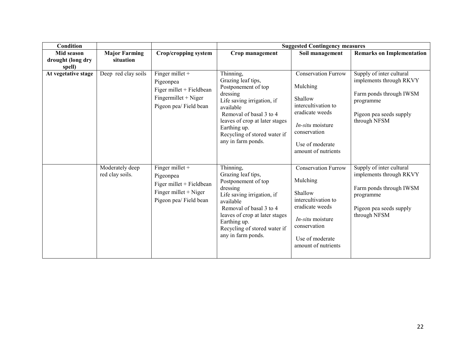| Condition                   |                                    |                                                                                                                |                                                                                                                                                                                                                                                  | <b>Suggested Contingency measures</b>                                                                                                                                            |                                                                                                                                        |  |  |
|-----------------------------|------------------------------------|----------------------------------------------------------------------------------------------------------------|--------------------------------------------------------------------------------------------------------------------------------------------------------------------------------------------------------------------------------------------------|----------------------------------------------------------------------------------------------------------------------------------------------------------------------------------|----------------------------------------------------------------------------------------------------------------------------------------|--|--|
| Mid season                  | <b>Major Farming</b>               | Crop/cropping system                                                                                           | Crop management                                                                                                                                                                                                                                  | Soil management                                                                                                                                                                  | <b>Remarks on Implementation</b>                                                                                                       |  |  |
| drought (long dry<br>spell) | situation                          |                                                                                                                |                                                                                                                                                                                                                                                  |                                                                                                                                                                                  |                                                                                                                                        |  |  |
| At vegetative stage         | Deep red clay soils                | Finger millet $+$<br>Pigeonpea<br>Figer millet + Fieldbean<br>$Fingermillet + Niger$<br>Pigeon pea/ Field bean | Thinning,<br>Grazing leaf tips,<br>Postponement of top<br>dressing<br>Life saving irrigation, if<br>available<br>Removal of basal 3 to 4<br>leaves of crop at later stages<br>Earthing up.<br>Recycling of stored water if<br>any in farm ponds. | <b>Conservation Furrow</b><br>Mulching<br>Shallow<br>intercultivation to<br>eradicate weeds<br><i>In-situ</i> moisture<br>conservation<br>Use of moderate<br>amount of nutrients | Supply of inter cultural<br>implements through RKVY<br>Farm ponds through IWSM<br>programme<br>Pigeon pea seeds supply<br>through NFSM |  |  |
|                             | Moderately deep<br>red clay soils. | Finger millet +<br>Pigeonpea<br>Figer millet + Fieldbean<br>Finger millet $+$ Niger<br>Pigeon pea/ Field bean  | Thinning,<br>Grazing leaf tips,<br>Postponement of top<br>dressing<br>Life saving irrigation, if<br>available<br>Removal of basal 3 to 4<br>leaves of crop at later stages<br>Earthing up.<br>Recycling of stored water if<br>any in farm ponds. | <b>Conservation Furrow</b><br>Mulching<br>Shallow<br>intercultivation to<br>eradicate weeds<br><i>In-situ</i> moisture<br>conservation<br>Use of moderate<br>amount of nutrients | Supply of inter cultural<br>implements through RKVY<br>Farm ponds through IWSM<br>programme<br>Pigeon pea seeds supply<br>through NFSM |  |  |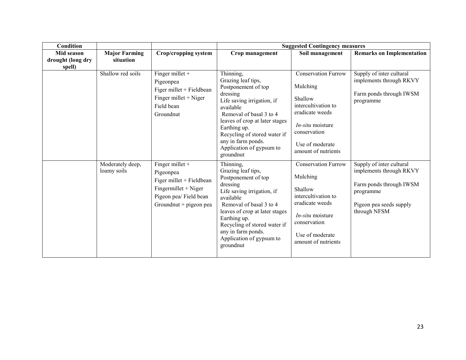| Condition                   |                                 |                                                                                                                                        | <b>Suggested Contingency measures</b>                                                                                                                                                                                                                                                     |                                                                                                                                                                             |                                                                                                                                        |  |
|-----------------------------|---------------------------------|----------------------------------------------------------------------------------------------------------------------------------------|-------------------------------------------------------------------------------------------------------------------------------------------------------------------------------------------------------------------------------------------------------------------------------------------|-----------------------------------------------------------------------------------------------------------------------------------------------------------------------------|----------------------------------------------------------------------------------------------------------------------------------------|--|
| Mid season                  | <b>Major Farming</b>            | Crop/cropping system                                                                                                                   | Crop management                                                                                                                                                                                                                                                                           | Soil management                                                                                                                                                             | <b>Remarks on Implementation</b>                                                                                                       |  |
| drought (long dry<br>spell) | situation                       |                                                                                                                                        |                                                                                                                                                                                                                                                                                           |                                                                                                                                                                             |                                                                                                                                        |  |
|                             | Shallow red soils               | Finger millet +<br>Pigeonpea<br>Figer millet + Fieldbean<br>Finger millet $+$ Niger<br>Field bean<br>Groundnut                         | Thinning,<br>Grazing leaf tips,<br>Postponement of top<br>dressing<br>Life saving irrigation, if<br>available<br>Removal of basal 3 to 4<br>leaves of crop at later stages<br>Earthing up.<br>Recycling of stored water if<br>any in farm ponds.<br>Application of gypsum to<br>groundnut | <b>Conservation Furrow</b><br>Mulching<br>Shallow<br>intercultivation to<br>eradicate weeds<br>In-situ moisture<br>conservation<br>Use of moderate<br>amount of nutrients   | Supply of inter cultural<br>implements through RKVY<br>Farm ponds through IWSM<br>programme                                            |  |
|                             | Moderately deep,<br>loamy soils | Finger millet $+$<br>Pigeonpea<br>Figer millet + Fieldbean<br>Fingermillet + Niger<br>Pigeon pea/ Field bean<br>Groundnut + pigeon pea | Thinning,<br>Grazing leaf tips,<br>Postponement of top<br>dressing<br>Life saving irrigation, if<br>available<br>Removal of basal 3 to 4<br>leaves of crop at later stages<br>Earthing up.<br>Recycling of stored water if<br>any in farm ponds.<br>Application of gypsum to<br>groundnut | <b>Conservation Furrow</b><br>Mulching<br>Shallow<br>intercultivation to<br>eradicate weeds<br>$In-situ$ moisture<br>conservation<br>Use of moderate<br>amount of nutrients | Supply of inter cultural<br>implements through RKVY<br>Farm ponds through IWSM<br>programme<br>Pigeon pea seeds supply<br>through NFSM |  |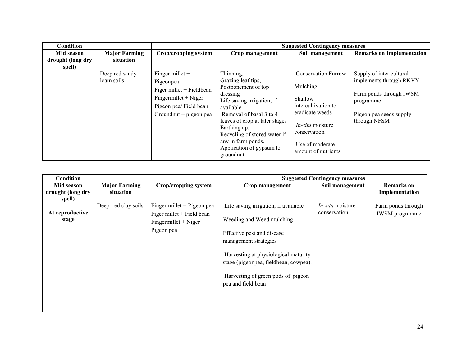| Condition         |                              |                                                                                                                                           |                                                                                                                                                                                                                                                                                           | <b>Suggested Contingency measures</b>                                                                                                                                            |                                                                                                                                        |
|-------------------|------------------------------|-------------------------------------------------------------------------------------------------------------------------------------------|-------------------------------------------------------------------------------------------------------------------------------------------------------------------------------------------------------------------------------------------------------------------------------------------|----------------------------------------------------------------------------------------------------------------------------------------------------------------------------------|----------------------------------------------------------------------------------------------------------------------------------------|
| Mid season        | <b>Major Farming</b>         | Crop/cropping system                                                                                                                      | Crop management                                                                                                                                                                                                                                                                           | Soil management                                                                                                                                                                  | <b>Remarks on Implementation</b>                                                                                                       |
| drought (long dry | situation                    |                                                                                                                                           |                                                                                                                                                                                                                                                                                           |                                                                                                                                                                                  |                                                                                                                                        |
| spell)            |                              |                                                                                                                                           |                                                                                                                                                                                                                                                                                           |                                                                                                                                                                                  |                                                                                                                                        |
|                   | Deep red sandy<br>loam soils | Finger millet $+$<br>Pigeonpea<br>Figer millet + Fieldbean<br>$Fingermillet + Niger$<br>Pigeon pea/ Field bean<br>Ground nut + pigeon pea | Thinning,<br>Grazing leaf tips,<br>Postponement of top<br>dressing<br>Life saving irrigation, if<br>available<br>Removal of basal 3 to 4<br>leaves of crop at later stages<br>Earthing up.<br>Recycling of stored water if<br>any in farm ponds.<br>Application of gypsum to<br>groundnut | <b>Conservation Furrow</b><br>Mulching<br>Shallow<br>intercultivation to<br>eradicate weeds<br><i>In-situ</i> moisture<br>conservation<br>Use of moderate<br>amount of nutrients | Supply of inter cultural<br>implements through RKVY<br>Farm ponds through IWSM<br>programme<br>Pigeon pea seeds supply<br>through NFSM |

| Condition         |                      |                            |                                       | <b>Suggested Contingency measures</b> |                       |
|-------------------|----------------------|----------------------------|---------------------------------------|---------------------------------------|-----------------------|
| Mid season        | <b>Major Farming</b> | Crop/cropping system       | Crop management                       | Soil management                       | <b>Remarks</b> on     |
| drought (long dry | situation            |                            |                                       |                                       | Implementation        |
| spell)            |                      |                            |                                       |                                       |                       |
|                   | Deep red clay soils  | Finger millet + Pigeon pea | Life saving irrigation, if available  | <i>In-situ</i> moisture               | Farm ponds through    |
| At reproductive   |                      | Figer millet + Field bean  |                                       | conservation                          | <b>IWSM</b> programme |
| stage             |                      | $Fingermillet + Niger$     | Weeding and Weed mulching             |                                       |                       |
|                   |                      | Pigeon pea                 |                                       |                                       |                       |
|                   |                      |                            | Effective pest and disease            |                                       |                       |
|                   |                      |                            | management strategies                 |                                       |                       |
|                   |                      |                            |                                       |                                       |                       |
|                   |                      |                            | Harvesting at physiological maturity  |                                       |                       |
|                   |                      |                            | stage (pigeonpea, fieldbean, cowpea). |                                       |                       |
|                   |                      |                            |                                       |                                       |                       |
|                   |                      |                            | Harvesting of green pods of pigeon    |                                       |                       |
|                   |                      |                            | pea and field bean                    |                                       |                       |
|                   |                      |                            |                                       |                                       |                       |
|                   |                      |                            |                                       |                                       |                       |
|                   |                      |                            |                                       |                                       |                       |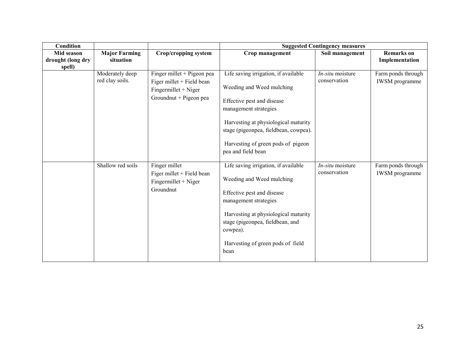| Condition                   |                                    |                                                                                                             |                                                                                                                                                                                                                                                                       | <b>Suggested Contingency measures</b>   |                                             |
|-----------------------------|------------------------------------|-------------------------------------------------------------------------------------------------------------|-----------------------------------------------------------------------------------------------------------------------------------------------------------------------------------------------------------------------------------------------------------------------|-----------------------------------------|---------------------------------------------|
| Mid season                  | <b>Major Farming</b>               | <b>Crop/cropping system</b>                                                                                 | Crop management                                                                                                                                                                                                                                                       | Soil management                         | <b>Remarks</b> on                           |
| drought (long dry<br>spell) | situation                          |                                                                                                             |                                                                                                                                                                                                                                                                       |                                         | Implementation                              |
|                             | Moderately deep<br>red clay soils. | Finger millet + Pigeon pea<br>Figer millet + Field bean<br>$Fingermillet + Niger$<br>Groundnut + Pigeon pea | Life saving irrigation, if available<br>Weeding and Weed mulching<br>Effective pest and disease<br>management strategies<br>Harvesting at physiological maturity<br>stage (pigeonpea, fieldbean, cowpea).<br>Harvesting of green pods of pigeon<br>pea and field bean | <i>In-situ</i> moisture<br>conservation | Farm ponds through<br><b>IWSM</b> programme |
|                             | Shallow red soils                  | Finger millet<br>Figer millet + Field bean<br>$Fingermillet + Niger$<br>Groundnut                           | Life saving irrigation, if available<br>Weeding and Weed mulching<br>Effective pest and disease<br>management strategies<br>Harvesting at physiological maturity<br>stage (pigeonpea, fieldbean, and<br>cowpea).<br>Harvesting of green pods of field<br>bean         | $In-situ$ moisture<br>conservation      | Farm ponds through<br><b>IWSM</b> programme |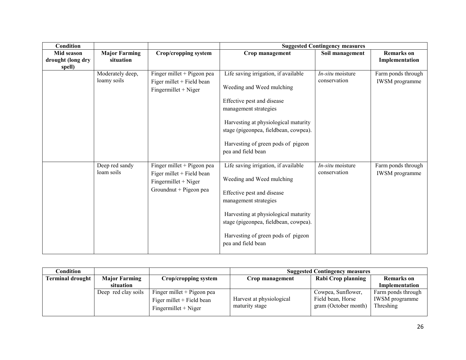| Condition         |                              |                                                                                                             |                                                                                                                                                                                                                                                                       | <b>Suggested Contingency measures</b> |                                             |
|-------------------|------------------------------|-------------------------------------------------------------------------------------------------------------|-----------------------------------------------------------------------------------------------------------------------------------------------------------------------------------------------------------------------------------------------------------------------|---------------------------------------|---------------------------------------------|
| Mid season        | <b>Major Farming</b>         | Crop/cropping system                                                                                        | Crop management                                                                                                                                                                                                                                                       | Soil management                       | <b>Remarks</b> on                           |
| drought (long dry | situation                    |                                                                                                             |                                                                                                                                                                                                                                                                       |                                       | Implementation                              |
| spell)            | Moderately deep,             | Finger millet + Pigeon pea                                                                                  | Life saving irrigation, if available                                                                                                                                                                                                                                  | <i>In-situ</i> moisture               | Farm ponds through                          |
|                   | loamy soils                  | Figer millet + Field bean<br>$Fingermillet + Niger$                                                         | Weeding and Weed mulching                                                                                                                                                                                                                                             | conservation                          | <b>IWSM</b> programme                       |
|                   |                              |                                                                                                             | Effective pest and disease<br>management strategies                                                                                                                                                                                                                   |                                       |                                             |
|                   |                              |                                                                                                             | Harvesting at physiological maturity<br>stage (pigeonpea, fieldbean, cowpea).                                                                                                                                                                                         |                                       |                                             |
|                   |                              |                                                                                                             | Harvesting of green pods of pigeon<br>pea and field bean                                                                                                                                                                                                              |                                       |                                             |
|                   | Deep red sandy<br>loam soils | Finger millet + Pigeon pea<br>Figer millet + Field bean<br>$Fingermillet + Niger$<br>Groundnut + Pigeon pea | Life saving irrigation, if available<br>Weeding and Weed mulching<br>Effective pest and disease<br>management strategies<br>Harvesting at physiological maturity<br>stage (pigeonpea, fieldbean, cowpea).<br>Harvesting of green pods of pigeon<br>pea and field bean | In-situ moisture<br>conservation      | Farm ponds through<br><b>IWSM</b> programme |

| Condition               |                      |                                                                                     | <b>Suggested Contingency measures</b>      |                                                                 |                                                          |
|-------------------------|----------------------|-------------------------------------------------------------------------------------|--------------------------------------------|-----------------------------------------------------------------|----------------------------------------------------------|
| <b>Terminal drought</b> | <b>Major Farming</b> | Crop/cropping system                                                                | Crop management                            | Rabi Crop planning                                              | <b>Remarks</b> on                                        |
|                         | situation            |                                                                                     |                                            |                                                                 | Implementation                                           |
|                         | Deep red clay soils  | Finger millet $+$ Pigeon pea<br>Figer millet + Field bean<br>$Fingermillet + Niger$ | Harvest at physiological<br>maturity stage | Cowpea, Sunflower,<br>Field bean, Horse<br>gram (October month) | Farm ponds through<br><b>IWSM</b> programme<br>Threshing |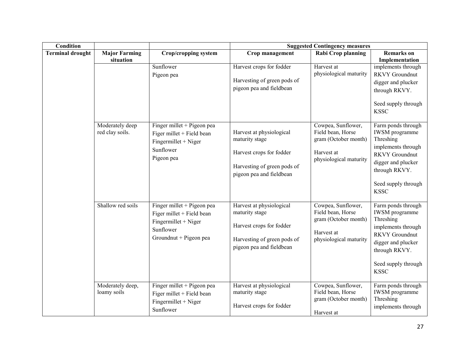| <b>Condition</b>        |                                    |                                                                                                                        | <b>Suggested Contingency measures</b>                                                                                             |                                                                                                         |                                                                                                                                                                                      |  |
|-------------------------|------------------------------------|------------------------------------------------------------------------------------------------------------------------|-----------------------------------------------------------------------------------------------------------------------------------|---------------------------------------------------------------------------------------------------------|--------------------------------------------------------------------------------------------------------------------------------------------------------------------------------------|--|
| <b>Terminal drought</b> | <b>Major Farming</b>               | <b>Crop/cropping system</b>                                                                                            | Crop management                                                                                                                   | Rabi Crop planning                                                                                      | <b>Remarks</b> on                                                                                                                                                                    |  |
|                         | situation                          | Sunflower<br>Pigeon pea                                                                                                | Harvest crops for fodder<br>Harvesting of green pods of<br>pigeon pea and fieldbean                                               | Harvest at<br>physiological maturity                                                                    | Implementation<br>implements through<br><b>RKVY</b> Groundnut<br>digger and plucker<br>through RKVY.<br>Seed supply through<br><b>KSSC</b>                                           |  |
|                         | Moderately deep<br>red clay soils. | Finger millet + Pigeon pea<br>Figer millet + Field bean<br>Fingermillet + Niger<br>Sunflower<br>Pigeon pea             | Harvest at physiological<br>maturity stage<br>Harvest crops for fodder<br>Harvesting of green pods of<br>pigeon pea and fieldbean | Cowpea, Sunflower,<br>Field bean, Horse<br>gram (October month)<br>Harvest at<br>physiological maturity | Farm ponds through<br><b>IWSM</b> programme<br>Threshing<br>implements through<br><b>RKVY</b> Groundnut<br>digger and plucker<br>through RKVY.<br>Seed supply through<br><b>KSSC</b> |  |
|                         | Shallow red soils                  | Finger millet + Pigeon pea<br>Figer millet + Field bean<br>Fingermillet + Niger<br>Sunflower<br>Groundnut + Pigeon pea | Harvest at physiological<br>maturity stage<br>Harvest crops for fodder<br>Harvesting of green pods of<br>pigeon pea and fieldbean | Cowpea, Sunflower,<br>Field bean, Horse<br>gram (October month)<br>Harvest at<br>physiological maturity | Farm ponds through<br><b>IWSM</b> programme<br>Threshing<br>implements through<br><b>RKVY</b> Groundnut<br>digger and plucker<br>through RKVY.<br>Seed supply through<br><b>KSSC</b> |  |
|                         | Moderately deep,<br>loamy soils    | Finger millet + Pigeon pea<br>Figer millet + Field bean<br>Fingermillet + Niger<br>Sunflower                           | Harvest at physiological<br>maturity stage<br>Harvest crops for fodder                                                            | Cowpea, Sunflower,<br>Field bean, Horse<br>gram (October month)<br>Harvest at                           | Farm ponds through<br><b>IWSM</b> programme<br>Threshing<br>implements through                                                                                                       |  |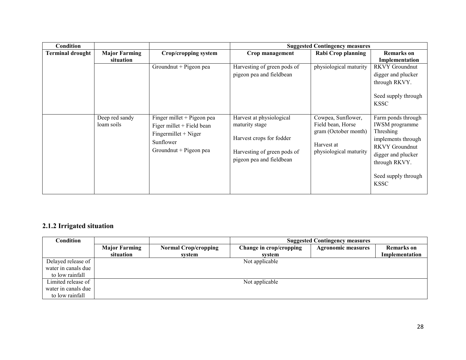| Condition               |                                   |                                                                                                                        |                                                                                                                                   | <b>Suggested Contingency measures</b>                                                                   |                                                                                                                                                                                      |
|-------------------------|-----------------------------------|------------------------------------------------------------------------------------------------------------------------|-----------------------------------------------------------------------------------------------------------------------------------|---------------------------------------------------------------------------------------------------------|--------------------------------------------------------------------------------------------------------------------------------------------------------------------------------------|
| <b>Terminal drought</b> | <b>Major Farming</b><br>situation | Crop/cropping system                                                                                                   | Crop management                                                                                                                   | Rabi Crop planning                                                                                      | <b>Remarks</b> on<br>Implementation                                                                                                                                                  |
|                         |                                   | Groundnut + Pigeon pea                                                                                                 | Harvesting of green pods of<br>pigeon pea and fieldbean                                                                           | physiological maturity                                                                                  | <b>RKVY</b> Groundnut<br>digger and plucker<br>through RKVY.<br>Seed supply through<br><b>KSSC</b>                                                                                   |
|                         | Deep red sandy<br>loam soils      | Finger millet + Pigeon pea<br>Figer millet + Field bean<br>Fingermillet + Niger<br>Sunflower<br>Groundnut + Pigeon pea | Harvest at physiological<br>maturity stage<br>Harvest crops for fodder<br>Harvesting of green pods of<br>pigeon pea and fieldbean | Cowpea, Sunflower,<br>Field bean, Horse<br>gram (October month)<br>Harvest at<br>physiological maturity | Farm ponds through<br><b>IWSM</b> programme<br>Threshing<br>implements through<br><b>RKVY</b> Groundnut<br>digger and plucker<br>through RKVY.<br>Seed supply through<br><b>KSSC</b> |

## 2.1.2 Irrigated situation

| Condition           | <b>Suggested Contingency measures</b> |                             |                         |                           |                   |
|---------------------|---------------------------------------|-----------------------------|-------------------------|---------------------------|-------------------|
|                     | <b>Major Farming</b>                  | <b>Normal Crop/cropping</b> | Change in crop/cropping | <b>Agronomic measures</b> | <b>Remarks</b> on |
|                     | situation                             | system                      | system                  |                           | Implementation    |
| Delayed release of  |                                       |                             | Not applicable          |                           |                   |
| water in canals due |                                       |                             |                         |                           |                   |
| to low rainfall     |                                       |                             |                         |                           |                   |
| Limited release of  |                                       |                             | Not applicable          |                           |                   |
| water in canals due |                                       |                             |                         |                           |                   |
| to low rainfall     |                                       |                             |                         |                           |                   |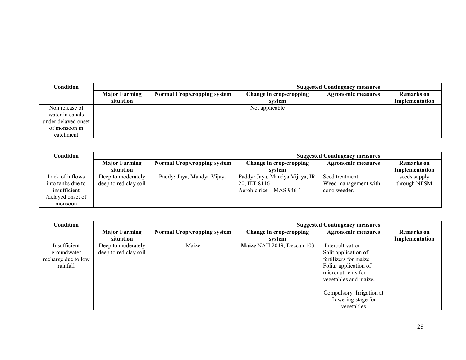| <b>Condition</b>    |                                   | <b>Suggested Contingency measures</b> |                                   |                           |                              |
|---------------------|-----------------------------------|---------------------------------------|-----------------------------------|---------------------------|------------------------------|
|                     | <b>Major Farming</b><br>situation | <b>Normal Crop/cropping system</b>    | Change in crop/cropping<br>system | <b>Agronomic measures</b> | Remarks on<br>Implementation |
|                     |                                   |                                       |                                   |                           |                              |
| Non release of      |                                   |                                       | Not applicable                    |                           |                              |
| water in canals     |                                   |                                       |                                   |                           |                              |
| under delayed onset |                                   |                                       |                                   |                           |                              |
| of monsoon in       |                                   |                                       |                                   |                           |                              |
| catchment           |                                   |                                       |                                   |                           |                              |

| Condition         |                       |                                    | <b>Suggested Contingency measures</b> |                           |                   |
|-------------------|-----------------------|------------------------------------|---------------------------------------|---------------------------|-------------------|
|                   | <b>Major Farming</b>  | <b>Normal Crop/cropping system</b> | Change in crop/cropping               | <b>Agronomic measures</b> | <b>Remarks</b> on |
|                   | situation             |                                    | system                                |                           | Implementation    |
| Lack of inflows   | Deep to moderately    | Paddy: Jaya, Mandya Vijaya         | Paddy: Jaya, Mandya Vijaya, IR        | Seed treatment            | seeds supply      |
| into tanks due to | deep to red clay soil |                                    | 20, IET 8116                          | Weed management with      | through NFSM      |
| insufficient      |                       |                                    | Aerobic rice – MAS 946-1              | cono weeder.              |                   |
| /delayed onset of |                       |                                    |                                       |                           |                   |
| monsoon           |                       |                                    |                                       |                           |                   |

| <b>Condition</b>                                               |                                             |                                    | <b>Suggested Contingency measures</b> |                                                                                                                                           |                   |
|----------------------------------------------------------------|---------------------------------------------|------------------------------------|---------------------------------------|-------------------------------------------------------------------------------------------------------------------------------------------|-------------------|
|                                                                | <b>Major Farming</b>                        | <b>Normal Crop/cropping system</b> | Change in crop/cropping               | <b>Agronomic measures</b>                                                                                                                 | <b>Remarks</b> on |
|                                                                | situation                                   |                                    | system                                |                                                                                                                                           | Implementation    |
| Insufficient<br>groundwater<br>recharge due to low<br>rainfall | Deep to moderately<br>deep to red clay soil | Maize                              | Maize NAH 2049, Deccan 103            | Intercultivation<br>Split application of<br>fertilizers for maize<br>Foliar application of<br>micronutrients for<br>vegetables and maize. |                   |
|                                                                |                                             |                                    |                                       | Compulsory Irrigation at<br>flowering stage for<br>vegetables                                                                             |                   |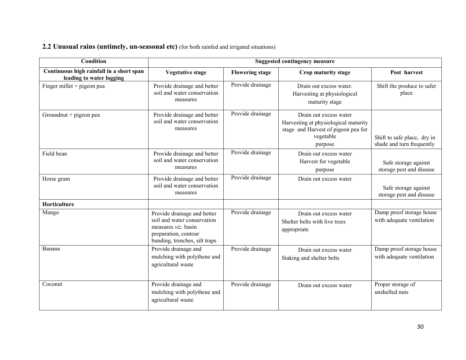# 2.2 Unusual rains (untimely, un-seasonal etc) (for both rainfed and irrigated situations)

| <b>Condition</b>                                                     | <b>Suggested contingency measure</b>                                                                                                       |                        |                                                                                                                               |                                                          |  |
|----------------------------------------------------------------------|--------------------------------------------------------------------------------------------------------------------------------------------|------------------------|-------------------------------------------------------------------------------------------------------------------------------|----------------------------------------------------------|--|
| Continuous high rainfall in a short span<br>leading to water logging | <b>Vegetative stage</b>                                                                                                                    | <b>Flowering stage</b> | Crop maturity stage                                                                                                           | Post harvest                                             |  |
| Finger millet + pigeon pea                                           | Provide drainage and better<br>soil and water conservation<br>measures                                                                     | Provide drainage       | Drain out excess water.<br>Harvesting at physiological<br>maturity stage                                                      | Shift the produce to safer<br>place                      |  |
| Groundnut + pigeon pea                                               | Provide drainage and better<br>soil and water conservation<br>measures                                                                     | Provide drainage       | Drain out excess water<br>Harvesting at physiological maturity<br>stage and Harvest of pigeon pea for<br>vegetable<br>purpose | Shift to safe place, dry in<br>shade and turn frequently |  |
| Field bean                                                           | Provide drainage and better<br>soil and water conservation<br>measures                                                                     | Provide drainage       | Drain out excess water<br>Harvest for vegetable<br>purpose                                                                    | Safe storage against<br>storage pest and disease         |  |
| Horse gram                                                           | Provide drainage and better<br>soil and water conservation<br>measures                                                                     | Provide drainage       | Drain out excess water                                                                                                        | Safe storage against<br>storage pest and disease         |  |
| Horticulture                                                         |                                                                                                                                            |                        |                                                                                                                               |                                                          |  |
| Mango                                                                | Provide drainage and better<br>soil and water conservation<br>measures viz. basin<br>preparation, contour<br>bunding, trenches, silt traps | Provide drainage       | Drain out excess water<br>Shelter belts with live trees<br>appropriate                                                        | Damp proof storage house<br>with adequate ventilation    |  |
| Banana                                                               | Provide drainage and<br>mulching with polythene and<br>agricultural waste                                                                  | Provide drainage       | Drain out excess water<br>Staking and shelter belts                                                                           | Damp proof storage house<br>with adequate ventilation    |  |
| Coconut                                                              | Provide drainage and<br>mulching with polythene and<br>agricultural waste                                                                  | Provide drainage       | Drain out excess water                                                                                                        | Proper storage of<br>unshelled nuts                      |  |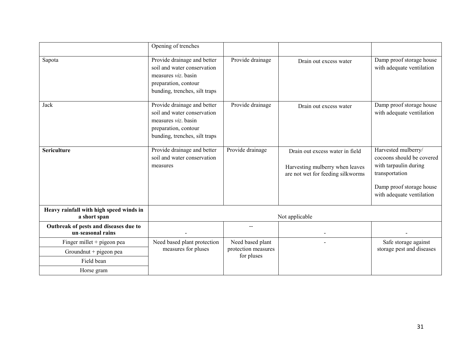|                                                                                  | Opening of trenches                                                                                                                        |                                                       |                                                                                                         |                                                                                                                                                      |
|----------------------------------------------------------------------------------|--------------------------------------------------------------------------------------------------------------------------------------------|-------------------------------------------------------|---------------------------------------------------------------------------------------------------------|------------------------------------------------------------------------------------------------------------------------------------------------------|
| Sapota                                                                           | Provide drainage and better<br>soil and water conservation<br>measures viz. basin<br>preparation, contour<br>bunding, trenches, silt traps | Provide drainage                                      | Drain out excess water                                                                                  | Damp proof storage house<br>with adequate ventilation                                                                                                |
| Jack                                                                             | Provide drainage and better<br>soil and water conservation<br>measures viz. basin<br>preparation, contour<br>bunding, trenches, silt traps | Provide drainage                                      | Drain out excess water                                                                                  | Damp proof storage house<br>with adequate ventilation                                                                                                |
| <b>Sericulture</b>                                                               | Provide drainage and better<br>soil and water conservation<br>measures                                                                     | Provide drainage                                      | Drain out excess water in field<br>Harvesting mulberry when leaves<br>are not wet for feeding silkworms | Harvested mulberry/<br>cocoons should be covered<br>with tarpaulin during<br>transportation<br>Damp proof storage house<br>with adequate ventilation |
| Heavy rainfall with high speed winds in<br>a short span                          |                                                                                                                                            |                                                       | Not applicable                                                                                          |                                                                                                                                                      |
| Outbreak of pests and diseases due to<br>un-seasonal rains                       |                                                                                                                                            |                                                       |                                                                                                         |                                                                                                                                                      |
| Finger millet + pigeon pea<br>Groundnut + pigeon pea<br>Field bean<br>Horse gram | Need based plant protection<br>measures for pluses                                                                                         | Need based plant<br>protection measures<br>for pluses |                                                                                                         | Safe storage against<br>storage pest and diseases                                                                                                    |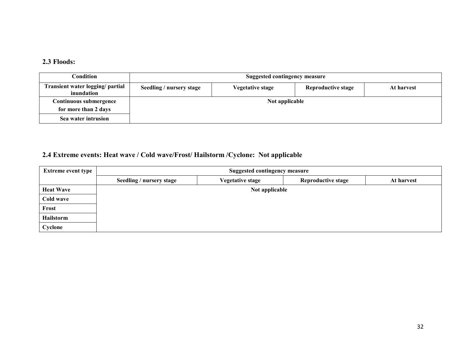### 2.3 Floods:

| Condition                                      | Suggested contingency measure |                  |                    |            |
|------------------------------------------------|-------------------------------|------------------|--------------------|------------|
| Transient water logging/ partial<br>inundation | Seedling / nursery stage      | Vegetative stage | Reproductive stage | At harvest |
| Continuous submergence                         | Not applicable                |                  |                    |            |
| for more than 2 days                           |                               |                  |                    |            |
| Sea water intrusion                            |                               |                  |                    |            |

## 2.4 Extreme events: Heat wave / Cold wave/Frost/ Hailstorm /Cyclone: Not applicable

| <b>Extreme event type</b> | <b>Suggested contingency measure</b> |                         |                           |            |  |  |
|---------------------------|--------------------------------------|-------------------------|---------------------------|------------|--|--|
|                           | Seedling / nursery stage             | <b>Vegetative stage</b> | <b>Reproductive stage</b> | At harvest |  |  |
| <b>Heat Wave</b>          |                                      | Not applicable          |                           |            |  |  |
| Cold wave                 |                                      |                         |                           |            |  |  |
| Frost                     |                                      |                         |                           |            |  |  |
| Hailstorm                 |                                      |                         |                           |            |  |  |
| Cyclone                   |                                      |                         |                           |            |  |  |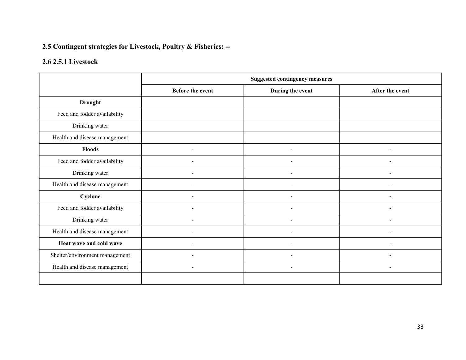# 2.5 Contingent strategies for Livestock, Poultry & Fisheries: --

# 2.6 2.5.1 Livestock

|                                | <b>Suggested contingency measures</b> |                          |                          |  |
|--------------------------------|---------------------------------------|--------------------------|--------------------------|--|
|                                | <b>Before the event</b>               | During the event         | After the event          |  |
| <b>Drought</b>                 |                                       |                          |                          |  |
| Feed and fodder availability   |                                       |                          |                          |  |
| Drinking water                 |                                       |                          |                          |  |
| Health and disease management  |                                       |                          |                          |  |
| <b>Floods</b>                  | $\overline{\phantom{0}}$              | $\overline{\phantom{0}}$ | $\overline{\phantom{0}}$ |  |
| Feed and fodder availability   |                                       |                          |                          |  |
| Drinking water                 |                                       |                          |                          |  |
| Health and disease management  |                                       |                          |                          |  |
| Cyclone                        |                                       |                          |                          |  |
| Feed and fodder availability   |                                       |                          |                          |  |
| Drinking water                 |                                       |                          |                          |  |
| Health and disease management  |                                       |                          |                          |  |
| Heat wave and cold wave        | ۰                                     |                          | $\overline{\phantom{a}}$ |  |
| Shelter/environment management | ۰                                     | $\overline{\phantom{a}}$ | $\overline{\phantom{a}}$ |  |
| Health and disease management  | $\blacksquare$                        | $\sim$                   | $\blacksquare$           |  |
|                                |                                       |                          |                          |  |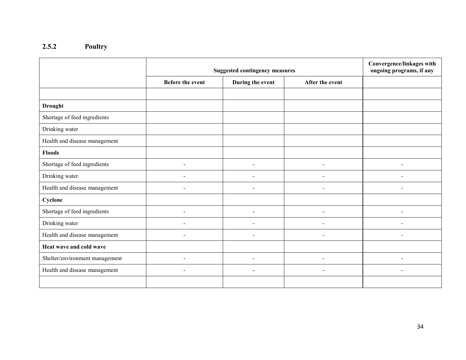#### 2.5.2 Poultry

|                                | <b>Suggested contingency measures</b> |                  |                          | Convergence/linkages with<br>ongoing programs, if any |
|--------------------------------|---------------------------------------|------------------|--------------------------|-------------------------------------------------------|
|                                | <b>Before the event</b>               | During the event | After the event          |                                                       |
|                                |                                       |                  |                          |                                                       |
| <b>Drought</b>                 |                                       |                  |                          |                                                       |
| Shortage of feed ingredients   |                                       |                  |                          |                                                       |
| Drinking water                 |                                       |                  |                          |                                                       |
| Health and disease management  |                                       |                  |                          |                                                       |
| <b>Floods</b>                  |                                       |                  |                          |                                                       |
| Shortage of feed ingredients   | ۰                                     |                  | $\overline{\phantom{a}}$ |                                                       |
| Drinking water                 |                                       |                  |                          |                                                       |
| Health and disease management  | $\sim$                                | $\sim$           | $\sim$                   | ÷                                                     |
| Cyclone                        |                                       |                  |                          |                                                       |
| Shortage of feed ingredients   | $\overline{\phantom{0}}$              |                  |                          |                                                       |
| Drinking water                 |                                       |                  |                          |                                                       |
| Health and disease management  |                                       |                  |                          |                                                       |
| Heat wave and cold wave        |                                       |                  |                          |                                                       |
| Shelter/environment management | $\blacksquare$                        |                  |                          |                                                       |
| Health and disease management  |                                       |                  |                          |                                                       |
|                                |                                       |                  |                          |                                                       |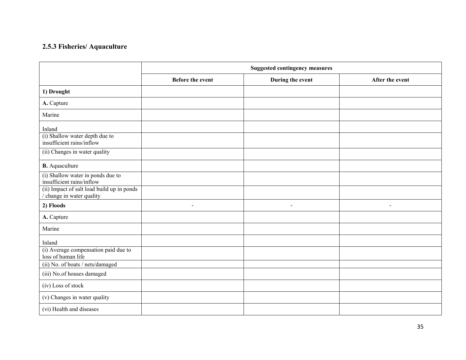#### 2.5.3 Fisheries/ Aquaculture

|                                                                                                              | <b>Suggested contingency measures</b> |                  |                 |  |
|--------------------------------------------------------------------------------------------------------------|---------------------------------------|------------------|-----------------|--|
|                                                                                                              | <b>Before the event</b>               | During the event | After the event |  |
| 1) Drought                                                                                                   |                                       |                  |                 |  |
| A. Capture                                                                                                   |                                       |                  |                 |  |
| Marine                                                                                                       |                                       |                  |                 |  |
| Inland<br>(i) Shallow water depth due to<br>insufficient rains/inflow<br>(ii) Changes in water quality       |                                       |                  |                 |  |
| <b>B.</b> Aquaculture                                                                                        |                                       |                  |                 |  |
| (i) Shallow water in ponds due to<br>insufficient rains/inflow<br>(ii) Impact of salt load build up in ponds |                                       |                  |                 |  |
| change in water quality                                                                                      |                                       |                  |                 |  |
| 2) Floods                                                                                                    | $\blacksquare$                        | $\blacksquare$   | $\blacksquare$  |  |
| A. Capture                                                                                                   |                                       |                  |                 |  |
| Marine                                                                                                       |                                       |                  |                 |  |
| Inland                                                                                                       |                                       |                  |                 |  |
| (i) Average compensation paid due to<br>loss of human life                                                   |                                       |                  |                 |  |
| (ii) No. of boats / nets/damaged                                                                             |                                       |                  |                 |  |
| (iii) No.of houses damaged                                                                                   |                                       |                  |                 |  |
| (iv) Loss of stock                                                                                           |                                       |                  |                 |  |
| (v) Changes in water quality                                                                                 |                                       |                  |                 |  |
| (vi) Health and diseases                                                                                     |                                       |                  |                 |  |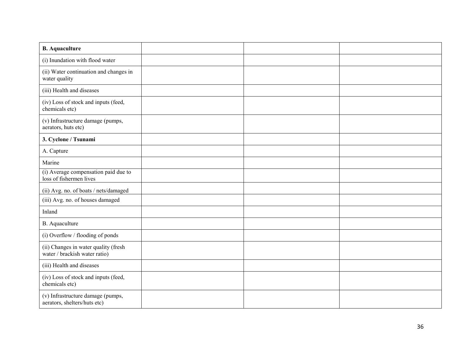| <b>B.</b> Aquaculture                                                 |  |  |
|-----------------------------------------------------------------------|--|--|
| (i) Inundation with flood water                                       |  |  |
| (ii) Water continuation and changes in<br>water quality               |  |  |
| (iii) Health and diseases                                             |  |  |
| (iv) Loss of stock and inputs (feed,<br>chemicals etc)                |  |  |
| (v) Infrastructure damage (pumps,<br>aerators, huts etc)              |  |  |
| 3. Cyclone / Tsunami                                                  |  |  |
| A. Capture                                                            |  |  |
| Marine                                                                |  |  |
| (i) Average compensation paid due to<br>loss of fishermen lives       |  |  |
| (ii) Avg. no. of boats / nets/damaged                                 |  |  |
| (iii) Avg. no. of houses damaged                                      |  |  |
| Inland                                                                |  |  |
| <b>B.</b> Aquaculture                                                 |  |  |
| (i) Overflow / flooding of ponds                                      |  |  |
| (ii) Changes in water quality (fresh<br>water / brackish water ratio) |  |  |
| (iii) Health and diseases                                             |  |  |
| (iv) Loss of stock and inputs (feed,<br>chemicals etc)                |  |  |
| (v) Infrastructure damage (pumps,<br>aerators, shelters/huts etc)     |  |  |